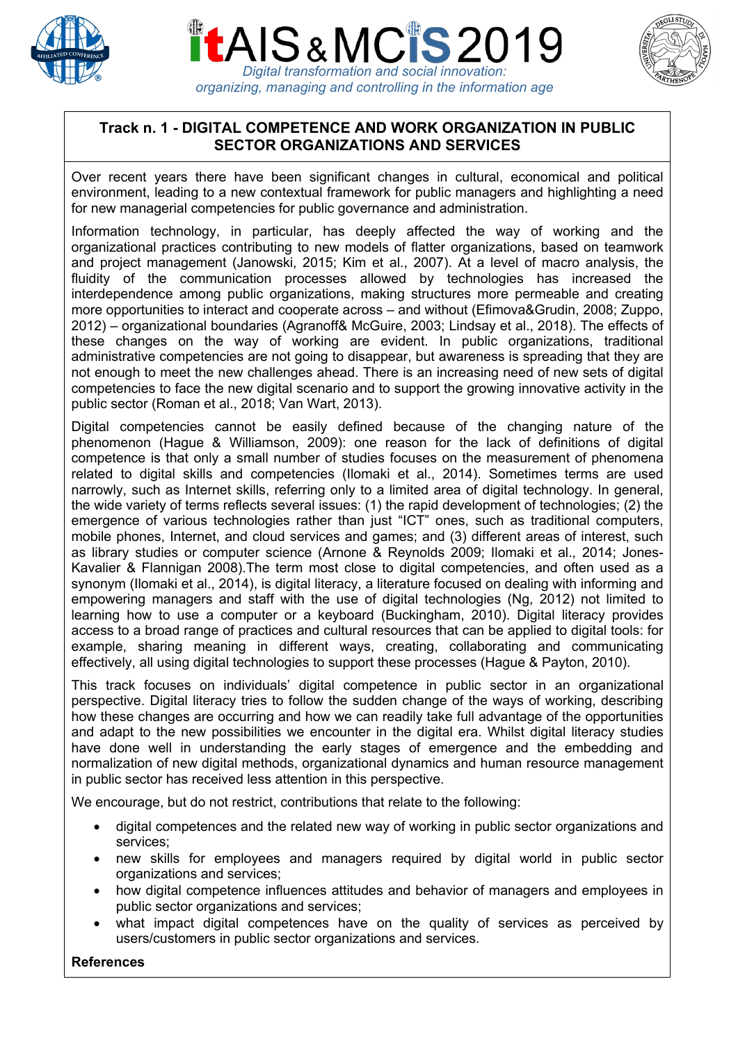





*organizing, managing and controlling in the information age*

# **Track n. 1 - DIGITAL COMPETENCE AND WORK ORGANIZATION IN PUBLIC SECTOR ORGANIZATIONS AND SERVICES**

Over recent years there have been significant changes in cultural, economical and political environment, leading to a new contextual framework for public managers and highlighting a need for new managerial competencies for public governance and administration.

Information technology, in particular, has deeply affected the way of working and the organizational practices contributing to new models of flatter organizations, based on teamwork and project management (Janowski, 2015; Kim et al., 2007). At a level of macro analysis, the fluidity of the communication processes allowed by technologies has increased the interdependence among public organizations, making structures more permeable and creating more opportunities to interact and cooperate across – and without (Efimova&Grudin, 2008; Zuppo, 2012) – organizational boundaries (Agranoff& McGuire, 2003; Lindsay et al., 2018). The effects of these changes on the way of working are evident. In public organizations, traditional administrative competencies are not going to disappear, but awareness is spreading that they are not enough to meet the new challenges ahead. There is an increasing need of new sets of digital competencies to face the new digital scenario and to support the growing innovative activity in the public sector (Roman et al., 2018; Van Wart, 2013).

Digital competencies cannot be easily defined because of the changing nature of the phenomenon (Hague & Williamson, 2009): one reason for the lack of definitions of digital competence is that only a small number of studies focuses on the measurement of phenomena related to digital skills and competencies (Ilomaki et al., 2014). Sometimes terms are used narrowly, such as Internet skills, referring only to a limited area of digital technology. In general, the wide variety of terms reflects several issues: (1) the rapid development of technologies; (2) the emergence of various technologies rather than just "ICT" ones, such as traditional computers, mobile phones, Internet, and cloud services and games; and (3) different areas of interest, such as library studies or computer science (Arnone & Reynolds 2009; Ilomaki et al., 2014; Jones-Kavalier & Flannigan 2008).The term most close to digital competencies, and often used as a synonym (Ilomaki et al., 2014), is digital literacy, a literature focused on dealing with informing and empowering managers and staff with the use of digital technologies (Ng, 2012) not limited to learning how to use a computer or a keyboard (Buckingham, 2010). Digital literacy provides access to a broad range of practices and cultural resources that can be applied to digital tools: for example, sharing meaning in different ways, creating, collaborating and communicating effectively, all using digital technologies to support these processes (Hague & Payton, 2010).

This track focuses on individuals' digital competence in public sector in an organizational perspective. Digital literacy tries to follow the sudden change of the ways of working, describing how these changes are occurring and how we can readily take full advantage of the opportunities and adapt to the new possibilities we encounter in the digital era. Whilst digital literacy studies have done well in understanding the early stages of emergence and the embedding and normalization of new digital methods, organizational dynamics and human resource management in public sector has received less attention in this perspective.

We encourage, but do not restrict, contributions that relate to the following:

- digital competences and the related new way of working in public sector organizations and services;
- new skills for employees and managers required by digital world in public sector organizations and services;
- how digital competence influences attitudes and behavior of managers and employees in public sector organizations and services;
- what impact digital competences have on the quality of services as perceived by users/customers in public sector organizations and services.

#### **References**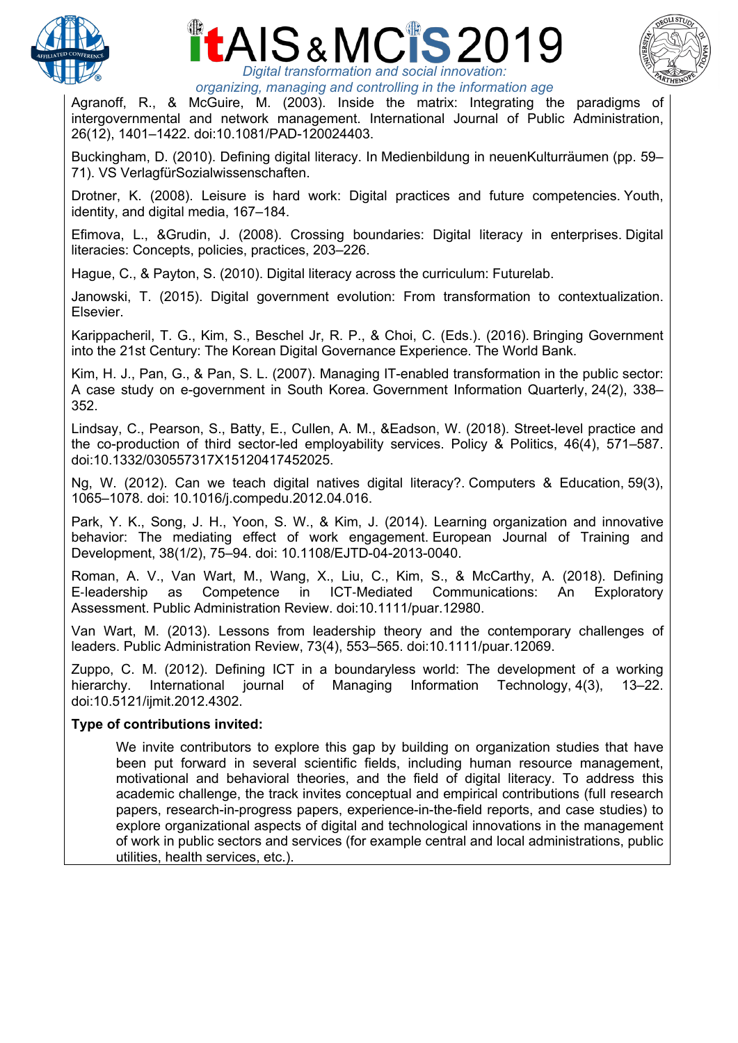





*organizing, managing and controlling in the information age*

Agranoff, R., & McGuire, M. (2003). Inside the matrix: Integrating the paradigms of intergovernmental and network management. International Journal of Public Administration, 26(12), 1401–1422. doi:10.1081/PAD-120024403.

Buckingham, D. (2010). Defining digital literacy. In Medienbildung in neuenKulturräumen (pp. 59– 71). VS VerlagfürSozialwissenschaften.

Drotner, K. (2008). Leisure is hard work: Digital practices and future competencies. Youth, identity, and digital media, 167–184.

Efimova, L., &Grudin, J. (2008). Crossing boundaries: Digital literacy in enterprises. Digital literacies: Concepts, policies, practices, 203–226.

Hague, C., & Payton, S. (2010). Digital literacy across the curriculum: Futurelab.

Janowski, T. (2015). Digital government evolution: From transformation to contextualization. Elsevier.

Karippacheril, T. G., Kim, S., Beschel Jr, R. P., & Choi, C. (Eds.). (2016). Bringing Government into the 21st Century: The Korean Digital Governance Experience. The World Bank.

Kim, H. J., Pan, G., & Pan, S. L. (2007). Managing IT-enabled transformation in the public sector: A case study on e-government in South Korea. Government Information Quarterly, 24(2), 338– 352.

Lindsay, C., Pearson, S., Batty, E., Cullen, A. M., &Eadson, W. (2018). Street-level practice and the co-production of third sector-led employability services. Policy & Politics, 46(4), 571–587. doi:10.1332/030557317X15120417452025.

Ng, W. (2012). Can we teach digital natives digital literacy?. Computers & Education, 59(3), 1065–1078. doi: 10.1016/j.compedu.2012.04.016.

Park, Y. K., Song, J. H., Yoon, S. W., & Kim, J. (2014). Learning organization and innovative behavior: The mediating effect of work engagement. European Journal of Training and Development, 38(1/2), 75–94. doi: 10.1108/EJTD-04-2013-0040.

Roman, A. V., Van Wart, M., Wang, X., Liu, C., Kim, S., & McCarthy, A. (2018). Defining E-leadership as Competence in ICT-Mediated Communications: An Exploratory Assessment. Public Administration Review. doi:10.1111/puar.12980.

Van Wart, M. (2013). Lessons from leadership theory and the contemporary challenges of leaders. Public Administration Review, 73(4), 553–565. doi:10.1111/puar.12069.

Zuppo, C. M. (2012). Defining ICT in a boundaryless world: The development of a working hierarchy. International journal of Managing Information Technology, 4(3), 13–22. doi:10.5121/ijmit.2012.4302.

### **Type of contributions invited:**

We invite contributors to explore this gap by building on organization studies that have been put forward in several scientific fields, including human resource management, motivational and behavioral theories, and the field of digital literacy. To address this academic challenge, the track invites conceptual and empirical contributions (full research papers, research-in-progress papers, experience-in-the-field reports, and case studies) to explore organizational aspects of digital and technological innovations in the management of work in public sectors and services (for example central and local administrations, public utilities, health services, etc.).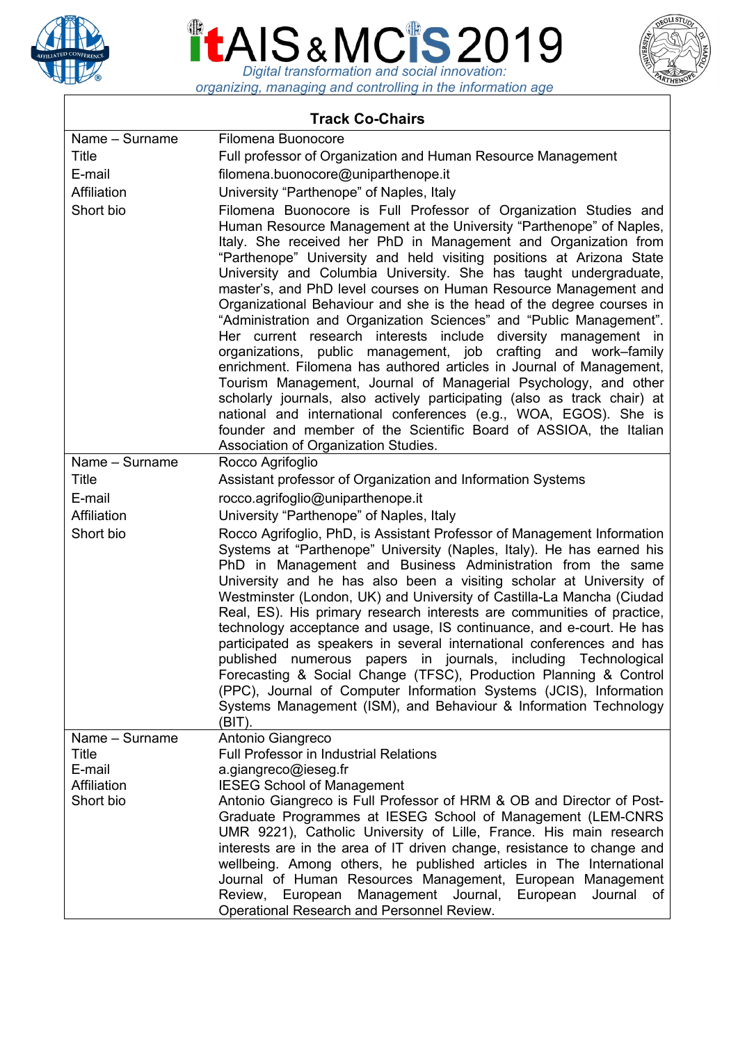

# *Digital transformation and social innovation:*



*organizing, managing and controlling in the information age*

| <b>Track Co-Chairs</b>  |                                                                                                                                                                                                                                                                                                                                                                                                                                                                                                                                                                                                                                                                                                                                                                                                                                                                                                                                                                                                                                                                                                                         |
|-------------------------|-------------------------------------------------------------------------------------------------------------------------------------------------------------------------------------------------------------------------------------------------------------------------------------------------------------------------------------------------------------------------------------------------------------------------------------------------------------------------------------------------------------------------------------------------------------------------------------------------------------------------------------------------------------------------------------------------------------------------------------------------------------------------------------------------------------------------------------------------------------------------------------------------------------------------------------------------------------------------------------------------------------------------------------------------------------------------------------------------------------------------|
| Name - Surname          | Filomena Buonocore                                                                                                                                                                                                                                                                                                                                                                                                                                                                                                                                                                                                                                                                                                                                                                                                                                                                                                                                                                                                                                                                                                      |
| Title                   | Full professor of Organization and Human Resource Management                                                                                                                                                                                                                                                                                                                                                                                                                                                                                                                                                                                                                                                                                                                                                                                                                                                                                                                                                                                                                                                            |
| E-mail                  | filomena.buonocore@uniparthenope.it                                                                                                                                                                                                                                                                                                                                                                                                                                                                                                                                                                                                                                                                                                                                                                                                                                                                                                                                                                                                                                                                                     |
| Affiliation             | University "Parthenope" of Naples, Italy                                                                                                                                                                                                                                                                                                                                                                                                                                                                                                                                                                                                                                                                                                                                                                                                                                                                                                                                                                                                                                                                                |
| Short bio               | Filomena Buonocore is Full Professor of Organization Studies and<br>Human Resource Management at the University "Parthenope" of Naples,<br>Italy. She received her PhD in Management and Organization from<br>"Parthenope" University and held visiting positions at Arizona State<br>University and Columbia University. She has taught undergraduate,<br>master's, and PhD level courses on Human Resource Management and<br>Organizational Behaviour and she is the head of the degree courses in<br>"Administration and Organization Sciences" and "Public Management".<br>Her current research interests include diversity management in<br>organizations, public management, job crafting and work–family<br>enrichment. Filomena has authored articles in Journal of Management,<br>Tourism Management, Journal of Managerial Psychology, and other<br>scholarly journals, also actively participating (also as track chair) at<br>national and international conferences (e.g., WOA, EGOS). She is<br>founder and member of the Scientific Board of ASSIOA, the Italian<br>Association of Organization Studies. |
| Name - Surname          | Rocco Agrifoglio                                                                                                                                                                                                                                                                                                                                                                                                                                                                                                                                                                                                                                                                                                                                                                                                                                                                                                                                                                                                                                                                                                        |
| Title                   | Assistant professor of Organization and Information Systems                                                                                                                                                                                                                                                                                                                                                                                                                                                                                                                                                                                                                                                                                                                                                                                                                                                                                                                                                                                                                                                             |
| E-mail                  |                                                                                                                                                                                                                                                                                                                                                                                                                                                                                                                                                                                                                                                                                                                                                                                                                                                                                                                                                                                                                                                                                                                         |
|                         | rocco.agrifoglio@uniparthenope.it                                                                                                                                                                                                                                                                                                                                                                                                                                                                                                                                                                                                                                                                                                                                                                                                                                                                                                                                                                                                                                                                                       |
| Affiliation             | University "Parthenope" of Naples, Italy                                                                                                                                                                                                                                                                                                                                                                                                                                                                                                                                                                                                                                                                                                                                                                                                                                                                                                                                                                                                                                                                                |
| Short bio               | Rocco Agrifoglio, PhD, is Assistant Professor of Management Information<br>Systems at "Parthenope" University (Naples, Italy). He has earned his<br>PhD in Management and Business Administration from the same<br>University and he has also been a visiting scholar at University of<br>Westminster (London, UK) and University of Castilla-La Mancha (Ciudad<br>Real, ES). His primary research interests are communities of practice,<br>technology acceptance and usage, IS continuance, and e-court. He has<br>participated as speakers in several international conferences and has<br>published<br>numerous papers in journals, including Technological<br>Forecasting & Social Change (TFSC), Production Planning & Control<br>(PPC), Journal of Computer Information Systems (JCIS), Information<br>Systems Management (ISM), and Behaviour & Information Technology<br>(BIT).                                                                                                                                                                                                                                |
| Name - Surname<br>Title | Antonio Giangreco<br>Full Professor in Industrial Relations                                                                                                                                                                                                                                                                                                                                                                                                                                                                                                                                                                                                                                                                                                                                                                                                                                                                                                                                                                                                                                                             |
| E-mail                  | a.giangreco@ieseg.fr                                                                                                                                                                                                                                                                                                                                                                                                                                                                                                                                                                                                                                                                                                                                                                                                                                                                                                                                                                                                                                                                                                    |
| Affiliation             | <b>IESEG School of Management</b>                                                                                                                                                                                                                                                                                                                                                                                                                                                                                                                                                                                                                                                                                                                                                                                                                                                                                                                                                                                                                                                                                       |
| Short bio               | Antonio Giangreco is Full Professor of HRM & OB and Director of Post-                                                                                                                                                                                                                                                                                                                                                                                                                                                                                                                                                                                                                                                                                                                                                                                                                                                                                                                                                                                                                                                   |
|                         | Graduate Programmes at IESEG School of Management (LEM-CNRS<br>UMR 9221), Catholic University of Lille, France. His main research<br>interests are in the area of IT driven change, resistance to change and<br>wellbeing. Among others, he published articles in The International<br>Journal of Human Resources Management, European Management<br>Management<br>European<br>Journal,<br>European<br>Review,<br>Journal<br>0t<br>Operational Research and Personnel Review.                                                                                                                                                                                                                                                                                                                                                                                                                                                                                                                                                                                                                                           |